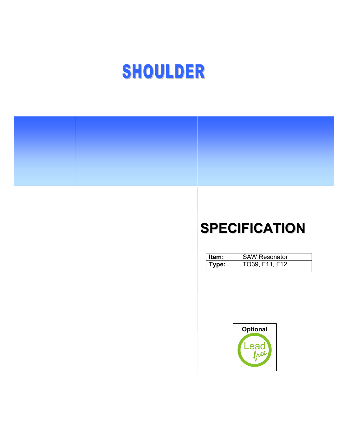# SHOULDER

## SPECIFICATION

| <b>∣Item:</b> | <b>SAW Resonator</b> |
|---------------|----------------------|
| Type:         | TO39, F11, F12       |

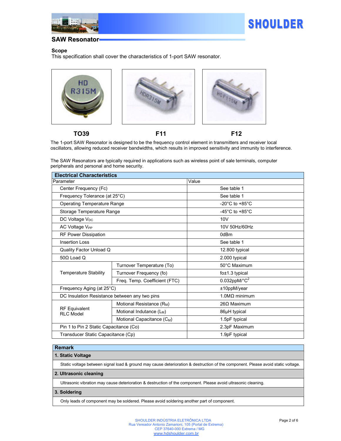



#### Scope

This specification shall cover the characteristics of 1-port SAW resonator.



TO39 F11 F12

The 1-port SAW Resonator is designed to be the frequency control element in transmitters and receiver local oscillators, allowing reduced receiver bandwidths, which results in improved sensitivity and immunity to interference.

The SAW Resonators are typically required in applications such as wireless point of sale terminals, computer peripherals and personal and home security.

| <b>Electrical Characteristics</b>             |                                        |                                        |  |  |  |
|-----------------------------------------------|----------------------------------------|----------------------------------------|--|--|--|
| Parameter                                     |                                        | Value                                  |  |  |  |
| Center Frequency (Fc)                         |                                        | See table 1                            |  |  |  |
| Frequency Tolerance (at 25°C)                 |                                        | See table 1                            |  |  |  |
| <b>Operating Temperature Range</b>            |                                        | -20 $^{\circ}$ C to +85 $^{\circ}$ C   |  |  |  |
| Storage Temperature Range                     |                                        | -45 $^{\circ}$ C to +85 $^{\circ}$ C   |  |  |  |
| DC Voltage V <sub>DC</sub>                    |                                        | 10V                                    |  |  |  |
| AC Voltage V <sub>PP</sub>                    |                                        | 10V 50Hz/60Hz                          |  |  |  |
| <b>RF Power Dissipation</b>                   |                                        | 0dBm                                   |  |  |  |
| <b>Insertion Loss</b>                         |                                        | See table 1                            |  |  |  |
| Quality Factor Unload Q                       |                                        | 12.800 typical                         |  |  |  |
| $50\Omega$ Load Q                             |                                        | 2.000 typical                          |  |  |  |
| <b>Temperature Stability</b>                  | Turnover Temperature (To)              | 50°C Maximum                           |  |  |  |
|                                               | Turnover Frequency (fo)                | $f$ <sub>0</sub> $\pm$ 1.3 typical     |  |  |  |
|                                               | Freq. Temp. Coefficient (FTC)          | $0.032$ ppM/ $^{\circ}$ C <sup>2</sup> |  |  |  |
| Frequency Aging (at 25°C)                     |                                        | ±10ppM/year                            |  |  |  |
| DC Insulation Resistance between any two pins |                                        | $1.0 \text{M}\Omega$ minimum           |  |  |  |
| <b>RF Equivalent</b><br><b>RLC Model</b>      | Motional Resistance (R <sub>M</sub> )  | $26\Omega$ Maximum                     |  |  |  |
|                                               | Motional Indutance (L <sub>M</sub> )   | 86µH typical                           |  |  |  |
|                                               | Motional Capacitance (C <sub>M</sub> ) | 1.5pF typical                          |  |  |  |
| Pin 1 to Pin 2 Static Capacitance (Co)        |                                        | 2.3pF Maximum                          |  |  |  |
| Transducer Static Capacitance (Cp)            |                                        | 1.9pF typical                          |  |  |  |

#### Remark

#### 1. Static Voltage

Static voltage between signal load & ground may cause deterioration & destruction of the component. Please avoid static voltage.

#### 2. Ultrasonic cleaning

Ultrasonic vibration may cause deterioration & destruction of the component. Please avoid ultrasonic cleaning.

#### 3. Soldering

Only leads of component may be soldered. Please avoid soldering another part of component.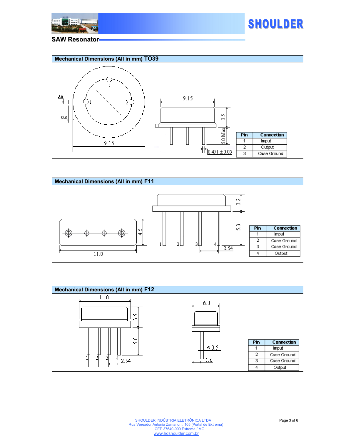







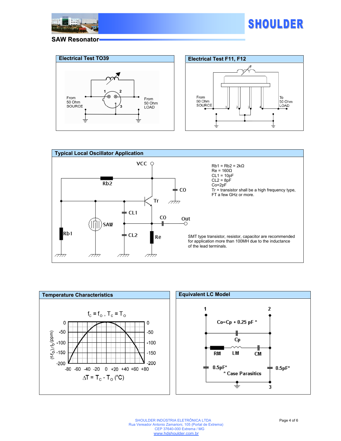











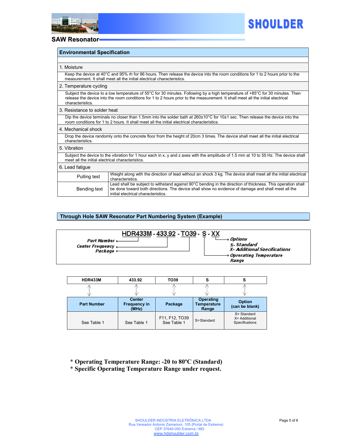



| <b>Environmental Specification</b>                                                                                                                                                                                                                                                   |                                                                                                                                                                                                                                                          |  |  |  |  |
|--------------------------------------------------------------------------------------------------------------------------------------------------------------------------------------------------------------------------------------------------------------------------------------|----------------------------------------------------------------------------------------------------------------------------------------------------------------------------------------------------------------------------------------------------------|--|--|--|--|
|                                                                                                                                                                                                                                                                                      |                                                                                                                                                                                                                                                          |  |  |  |  |
| 1. Moisture                                                                                                                                                                                                                                                                          |                                                                                                                                                                                                                                                          |  |  |  |  |
|                                                                                                                                                                                                                                                                                      | Keep the device at 40°C and 95% rh for 96 hours. Then release the device into the room conditions for 1 to 2 hours prior to the<br>measurement. It shall meet all the initial electrical characteristics.                                                |  |  |  |  |
| 2. Temperature cycling                                                                                                                                                                                                                                                               |                                                                                                                                                                                                                                                          |  |  |  |  |
| Subject the device to a low temperature of 55°C for 30 minutes. Following by a high temperature of +85°C for 30 minutes. Then<br>release the device into the room conditions for 1 to 2 hours prior to the measurement. It shall meet all the initial electrical<br>characteristics. |                                                                                                                                                                                                                                                          |  |  |  |  |
| 3. Resistance to solder heat                                                                                                                                                                                                                                                         |                                                                                                                                                                                                                                                          |  |  |  |  |
| Dip the device terminals no closer than 1.5mm into the solder bath at 260±10°C for 10±1 sec. Then release the device into the<br>room conditions for 1 to 2 hours. It shall meet all the initial electrical characteristics.                                                         |                                                                                                                                                                                                                                                          |  |  |  |  |
| 4. Mechanical shock                                                                                                                                                                                                                                                                  |                                                                                                                                                                                                                                                          |  |  |  |  |
| Drop the device randomly onto the concrete floor from the height of 20cm 3 times. The device shall meet all the initial electrical<br>characteristics.                                                                                                                               |                                                                                                                                                                                                                                                          |  |  |  |  |
| 5. Vibration                                                                                                                                                                                                                                                                         |                                                                                                                                                                                                                                                          |  |  |  |  |
| Subject the device to the vibration for 1 hour each in x, y and z axes with the amplitude of 1.5 mm at 10 to 55 Hz. The device shall<br>meet all the initial electrical characteristics.                                                                                             |                                                                                                                                                                                                                                                          |  |  |  |  |
| 6. Lead fatigue                                                                                                                                                                                                                                                                      |                                                                                                                                                                                                                                                          |  |  |  |  |
| Pulling test                                                                                                                                                                                                                                                                         | Weight along with the direction of lead without an shock 3 kg. The device shall meet all the initial electrical<br>characteristics.                                                                                                                      |  |  |  |  |
| Bending text                                                                                                                                                                                                                                                                         | Lead shall be subject to withstand against 90°C bending in the direction of thickness. This operation shall<br>be done toward both directions. The device shall show no evidence of damage and shall meet all the<br>initial electrical characteristics. |  |  |  |  |

## Through Hole SAW Resonator Part Numbering System (Example)



| <b>HDR433M</b>     | 433.92                                        | TO39                          | S                                        |                                                |
|--------------------|-----------------------------------------------|-------------------------------|------------------------------------------|------------------------------------------------|
|                    |                                               |                               |                                          |                                                |
| <b>Part Number</b> | <b>Center</b><br><b>Frequency in</b><br>(MHz) | Package                       | Operating<br><b>Temperature</b><br>Range | <b>Option</b><br>(can be blank)                |
| See Table 1        | See Table 1                                   | F11, F12, TO39<br>See Table 1 | S=Standard                               | S= Standard<br>X= Additional<br>Specifications |

\* Operating Temperature Range: -20 to 80ºC (Standard)

\* Specific Operating Temperature Range under request.